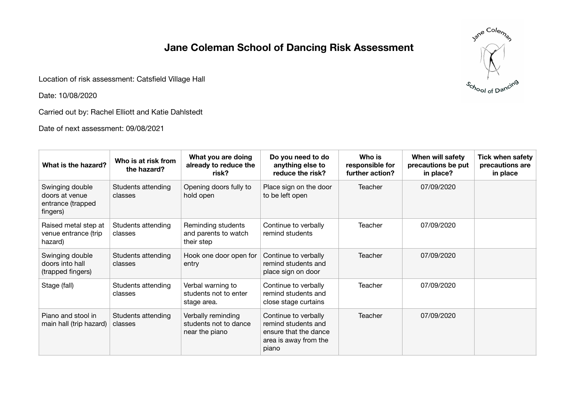## **Jane Coleman School of Dancing Risk Assessment**

Location of risk assessment: Catsfield Village Hall

Date: 10/08/2020

Carried out by: Rachel Elliott and Katie Dahlstedt

Date of next assessment: 09/08/2021

| What is the hazard?                                                | Who is at risk from<br>the hazard? | What you are doing<br>already to reduce the<br>risk?          | Do you need to do<br>anything else to<br>reduce the risk?                                              | Who is<br>responsible for<br>further action? | When will safety<br>precautions be put<br>in place? | <b>Tick when safety</b><br>precautions are<br>in place |
|--------------------------------------------------------------------|------------------------------------|---------------------------------------------------------------|--------------------------------------------------------------------------------------------------------|----------------------------------------------|-----------------------------------------------------|--------------------------------------------------------|
| Swinging double<br>doors at venue<br>entrance (trapped<br>fingers) | Students attending<br>classes      | Opening doors fully to<br>hold open                           | Place sign on the door<br>to be left open                                                              | <b>Teacher</b>                               | 07/09/2020                                          |                                                        |
| Raised metal step at<br>venue entrance (trip<br>hazard)            | Students attending<br>classes      | Reminding students<br>and parents to watch<br>their step      | Continue to verbally<br>remind students                                                                | Teacher                                      | 07/09/2020                                          |                                                        |
| Swinging double<br>doors into hall<br>(trapped fingers)            | Students attending<br>classes      | Hook one door open for<br>entry                               | Continue to verbally<br>remind students and<br>place sign on door                                      | <b>Teacher</b>                               | 07/09/2020                                          |                                                        |
| Stage (fall)                                                       | Students attending<br>classes      | Verbal warning to<br>students not to enter<br>stage area.     | Continue to verbally<br>remind students and<br>close stage curtains                                    | Teacher                                      | 07/09/2020                                          |                                                        |
| Piano and stool in<br>main hall (trip hazard)                      | Students attending<br>classes      | Verbally reminding<br>students not to dance<br>near the piano | Continue to verbally<br>remind students and<br>ensure that the dance<br>area is away from the<br>piano | Teacher                                      | 07/09/2020                                          |                                                        |

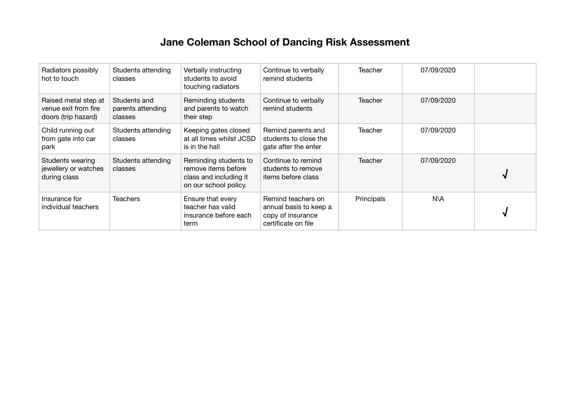## **Jane Coleman School of Dancing Risk Assessment**

| Radiators possibly<br>hot to touch                                  | Students attending<br>classes                | Verbally instructing<br>students to avoid<br>touching radiators                                 | Continue to verbally<br>remind students                                                  | Teacher        | 07/09/2020 |   |
|---------------------------------------------------------------------|----------------------------------------------|-------------------------------------------------------------------------------------------------|------------------------------------------------------------------------------------------|----------------|------------|---|
| Raised metal step at<br>venue exit from fire<br>doors (trip hazard) | Students and<br>parents attending<br>classes | Reminding students<br>and parents to watch<br>their step                                        | Continue to verbally<br>remind students                                                  | Teacher        | 07/09/2020 |   |
| Child running out<br>from gate into car<br>park                     | Students attending<br>classes                | Keeping gates closed<br>at all times whilst JCSD<br>is in the hall                              | Remind parents and<br>students to close the<br>gate after the enter                      | <b>Teacher</b> | 07/09/2020 |   |
| Students wearing<br>jewellery or watches<br>during class            | Students attending<br>classes                | Reminding students to<br>remove items before<br>class and including it<br>on our school policy. | Continue to remind<br>students to remove<br>items before class                           | Teacher        | 07/09/2020 |   |
| Insurance for<br>individual teachers                                | <b>Teachers</b>                              | Ensure that every<br>teacher has valid<br>insurance before each<br>term                         | Remind teachers on<br>annual basis to keep a<br>copy of insurance<br>certificate on file | Principals     | N\A        | N |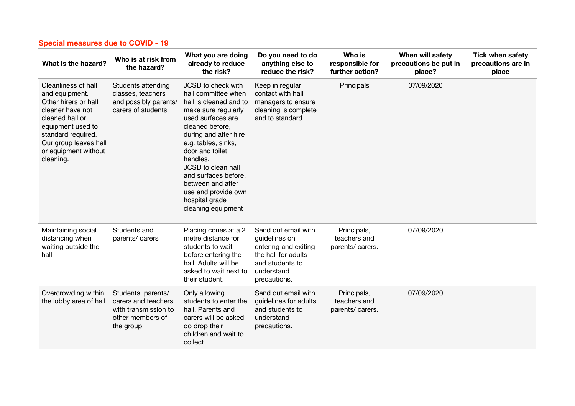| What is the hazard?                                                                                                                                                                                           | Who is at risk from<br>the hazard?                                                                 | What you are doing<br>already to reduce<br>the risk?                                                                                                                                                                                                                                                                                                | Do you need to do<br>anything else to<br>reduce the risk?                                                                            | Who is<br>responsible for<br>further action?    | When will safety<br>precautions be put in<br>place? | <b>Tick when safety</b><br>precautions are in<br>place |
|---------------------------------------------------------------------------------------------------------------------------------------------------------------------------------------------------------------|----------------------------------------------------------------------------------------------------|-----------------------------------------------------------------------------------------------------------------------------------------------------------------------------------------------------------------------------------------------------------------------------------------------------------------------------------------------------|--------------------------------------------------------------------------------------------------------------------------------------|-------------------------------------------------|-----------------------------------------------------|--------------------------------------------------------|
| Cleanliness of hall<br>and equipment.<br>Other hirers or hall<br>cleaner have not<br>cleaned hall or<br>equipment used to<br>standard required.<br>Our group leaves hall<br>or equipment without<br>cleaning. | Students attending<br>classes, teachers<br>and possibly parents/<br>carers of students             | JCSD to check with<br>hall committee when<br>hall is cleaned and to<br>make sure regularly<br>used surfaces are<br>cleaned before,<br>during and after hire<br>e.g. tables, sinks,<br>door and toilet<br>handles.<br>JCSD to clean hall<br>and surfaces before,<br>between and after<br>use and provide own<br>hospital grade<br>cleaning equipment | Keep in regular<br>contact with hall<br>managers to ensure<br>cleaning is complete<br>and to standard.                               | Principals                                      | 07/09/2020                                          |                                                        |
| Maintaining social<br>distancing when<br>waiting outside the<br>hall                                                                                                                                          | Students and<br>parents/ carers                                                                    | Placing cones at a 2<br>metre distance for<br>students to wait<br>before entering the<br>hall. Adults will be<br>asked to wait next to<br>their student.                                                                                                                                                                                            | Send out email with<br>guidelines on<br>entering and exiting<br>the hall for adults<br>and students to<br>understand<br>precautions. | Principals,<br>teachers and<br>parents/ carers. | 07/09/2020                                          |                                                        |
| Overcrowding within<br>the lobby area of hall                                                                                                                                                                 | Students, parents/<br>carers and teachers<br>with transmission to<br>other members of<br>the group | Only allowing<br>students to enter the<br>hall. Parents and<br>carers will be asked<br>do drop their<br>children and wait to<br>collect                                                                                                                                                                                                             | Send out email with<br>guidelines for adults<br>and students to<br>understand<br>precautions.                                        | Principals,<br>teachers and<br>parents/ carers. | 07/09/2020                                          |                                                        |

## **Special measures due to COVID - 19**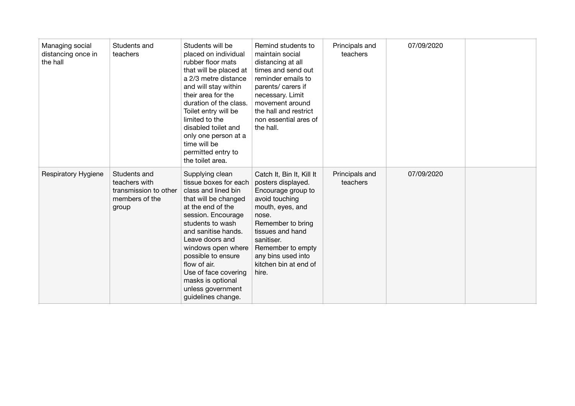| Managing social<br>distancing once in<br>the hall | Students and<br>teachers                                                          | Students will be<br>placed on individual<br>rubber floor mats<br>that will be placed at<br>a 2/3 metre distance<br>and will stay within<br>their area for the<br>duration of the class.<br>Toilet entry will be<br>limited to the<br>disabled toilet and<br>only one person at a<br>time will be<br>permitted entry to<br>the toilet area.           | Remind students to<br>maintain social<br>distancing at all<br>times and send out<br>reminder emails to<br>parents/ carers if<br>necessary. Limit<br>movement around<br>the hall and restrict<br>non essential ares of<br>the hall.                       | Principals and<br>teachers | 07/09/2020 |  |
|---------------------------------------------------|-----------------------------------------------------------------------------------|------------------------------------------------------------------------------------------------------------------------------------------------------------------------------------------------------------------------------------------------------------------------------------------------------------------------------------------------------|----------------------------------------------------------------------------------------------------------------------------------------------------------------------------------------------------------------------------------------------------------|----------------------------|------------|--|
| <b>Respiratory Hygiene</b>                        | Students and<br>teachers with<br>transmission to other<br>members of the<br>group | Supplying clean<br>tissue boxes for each<br>class and lined bin<br>that will be changed<br>at the end of the<br>session. Encourage<br>students to wash<br>and sanitise hands.<br>Leave doors and<br>windows open where<br>possible to ensure<br>flow of air.<br>Use of face covering<br>masks is optional<br>unless government<br>guidelines change. | Catch It, Bin It, Kill It<br>posters displayed.<br>Encourage group to<br>avoid touching<br>mouth, eyes, and<br>nose.<br>Remember to bring<br>tissues and hand<br>sanitiser.<br>Remember to empty<br>any bins used into<br>kitchen bin at end of<br>hire. | Principals and<br>teachers | 07/09/2020 |  |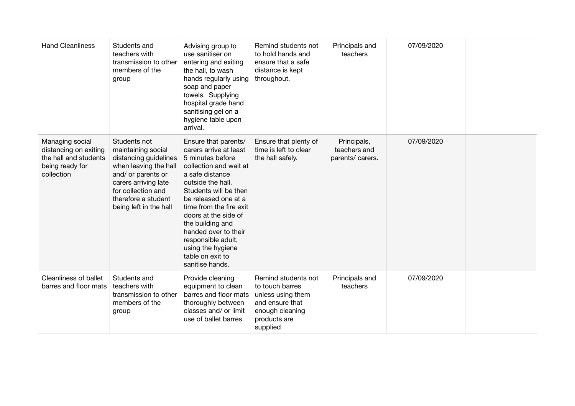| <b>Hand Cleanliness</b>                                                                            | Students and<br>teachers with<br>transmission to other<br>members of the<br>group                                                                                                                         | Advising group to<br>use sanitiser on<br>entering and exiting<br>the hall, to wash<br>hands regularly using<br>soap and paper<br>towels. Supplying<br>hospital grade hand<br>sanitising gel on a<br>hygiene table upon<br>arrival.                                                                                                                                     | Remind students not<br>to hold hands and<br>ensure that a safe<br>distance is kept<br>throughout.                             | Principals and<br>teachers                      | 07/09/2020 |  |
|----------------------------------------------------------------------------------------------------|-----------------------------------------------------------------------------------------------------------------------------------------------------------------------------------------------------------|------------------------------------------------------------------------------------------------------------------------------------------------------------------------------------------------------------------------------------------------------------------------------------------------------------------------------------------------------------------------|-------------------------------------------------------------------------------------------------------------------------------|-------------------------------------------------|------------|--|
| Managing social<br>distancing on exiting<br>the hall and students<br>being ready for<br>collection | Students not<br>maintaining social<br>distancing guidelines<br>when leaving the hall<br>and/ or parents or<br>carers arriving late<br>for collection and<br>therefore a student<br>being left in the hall | Ensure that parents/<br>carers arrive at least<br>5 minutes before<br>collection and wait at<br>a safe distance<br>outside the hall.<br>Students will be then<br>be released one at a<br>time from the fire exit<br>doors at the side of<br>the building and<br>handed over to their<br>responsible adult,<br>using the hygiene<br>table on exit to<br>sanitise hands. | Ensure that plenty of<br>time is left to clear<br>the hall safely.                                                            | Principals,<br>teachers and<br>parents/ carers. | 07/09/2020 |  |
| <b>Cleanliness of ballet</b><br>barres and floor mats                                              | Students and<br>teachers with<br>transmission to other<br>members of the<br>group                                                                                                                         | Provide cleaning<br>equipment to clean<br>barres and floor mats<br>thoroughly between<br>classes and/ or limit<br>use of ballet barres.                                                                                                                                                                                                                                | Remind students not<br>to touch barres<br>unless using them<br>and ensure that<br>enough cleaning<br>products are<br>supplied | Principals and<br>teachers                      | 07/09/2020 |  |